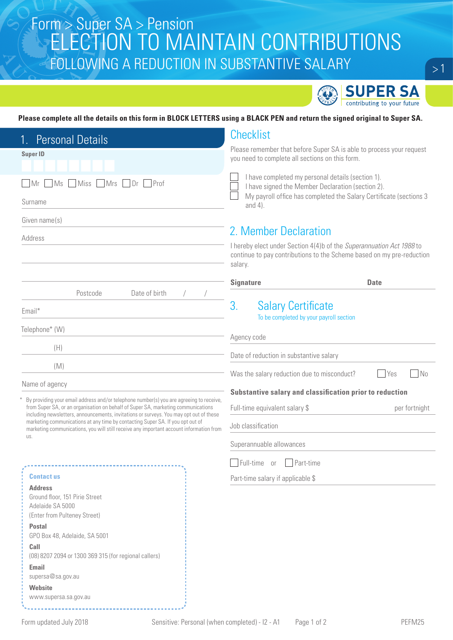## $\begin{array}{l} \text{Form} > \text{Super SA} > \text{Pension} \\ \text{ICATION TOL MANTAIN CONTDIDI ITIONC} \end{array}$ ELECTION TO MAINTAIN CONTRIBUTIONS FOLLOWING A REDUCTION IN SUBSTANTIVE SALARY



#### **Please complete all the details on this form in BLOCK LETTERS using a BLACK PEN and return the signed original to Super SA.**

| <b>Personal Details</b>                                                                                                                                                      | <b>Checklist</b>                                                                                                                                         |  |
|------------------------------------------------------------------------------------------------------------------------------------------------------------------------------|----------------------------------------------------------------------------------------------------------------------------------------------------------|--|
| <b>Super ID</b>                                                                                                                                                              | Please remember that before Super SA is able to process your request                                                                                     |  |
|                                                                                                                                                                              | you need to complete all sections on this form.                                                                                                          |  |
| Miss Mrs<br>$\Box$ Dr $\Box$ Prof<br>MS<br>  Mr                                                                                                                              | I have completed my personal details (section 1).<br>I have signed the Member Declaration (section 2).                                                   |  |
| Surname                                                                                                                                                                      | My payroll office has completed the Salary Certificate (sections 3<br>and $4$ ).                                                                         |  |
| Given name(s)                                                                                                                                                                |                                                                                                                                                          |  |
| Address                                                                                                                                                                      | 2. Member Declaration                                                                                                                                    |  |
|                                                                                                                                                                              | I hereby elect under Section 4(4)b of the Superannuation Act 1988 to<br>continue to pay contributions to the Scheme based on my pre-reduction<br>salary. |  |
|                                                                                                                                                                              | <b>Signature</b><br><b>Date</b>                                                                                                                          |  |
| Date of birth<br>Postcode                                                                                                                                                    |                                                                                                                                                          |  |
| Email*                                                                                                                                                                       | 3.<br><b>Salary Certificate</b><br>To be completed by your payroll section                                                                               |  |
| Telephone* (W)                                                                                                                                                               |                                                                                                                                                          |  |
| (H)                                                                                                                                                                          | Agency code                                                                                                                                              |  |
|                                                                                                                                                                              | Date of reduction in substantive salary                                                                                                                  |  |
| (M)                                                                                                                                                                          | N <sub>0</sub><br>Was the salary reduction due to misconduct?<br><b>Yes</b>                                                                              |  |
| Name of agency                                                                                                                                                               | Substantive salary and classification prior to reduction                                                                                                 |  |
| By providing your email address and/or telephone number(s) you are agreeing to receive,<br>from Super SA, or an organisation on behalf of Super SA, marketing communications |                                                                                                                                                          |  |
| including newsletters, announcements, invitations or surveys. You may opt out of these                                                                                       | Full-time equivalent salary \$<br>per fortnight                                                                                                          |  |
| marketing communications at any time by contacting Super SA. If you opt out of<br>marketing communications, you will still receive any important account information from    | Job classification                                                                                                                                       |  |
| US.                                                                                                                                                                          | Superannuable allowances                                                                                                                                 |  |
|                                                                                                                                                                              | Full-time<br>Part-time<br><b>or</b>                                                                                                                      |  |
| <b>Contact us</b>                                                                                                                                                            |                                                                                                                                                          |  |
| <b>Address</b>                                                                                                                                                               | Part-time salary if applicable \$                                                                                                                        |  |
| Ground floor, 151 Pirie Street                                                                                                                                               |                                                                                                                                                          |  |
| Adelaide SA 5000                                                                                                                                                             |                                                                                                                                                          |  |
| (Enter from Pulteney Street)                                                                                                                                                 |                                                                                                                                                          |  |
| <b>Postal</b><br>GPO Box 48, Adelaide, SA 5001                                                                                                                               |                                                                                                                                                          |  |
| Call                                                                                                                                                                         |                                                                                                                                                          |  |
| (08) 8207 2094 or 1300 369 315 (for regional callers)                                                                                                                        |                                                                                                                                                          |  |

| <b>Email</b>      |  |
|-------------------|--|
| supersa@sa.gov.au |  |

**Website** www.supersa.sa.gov.au